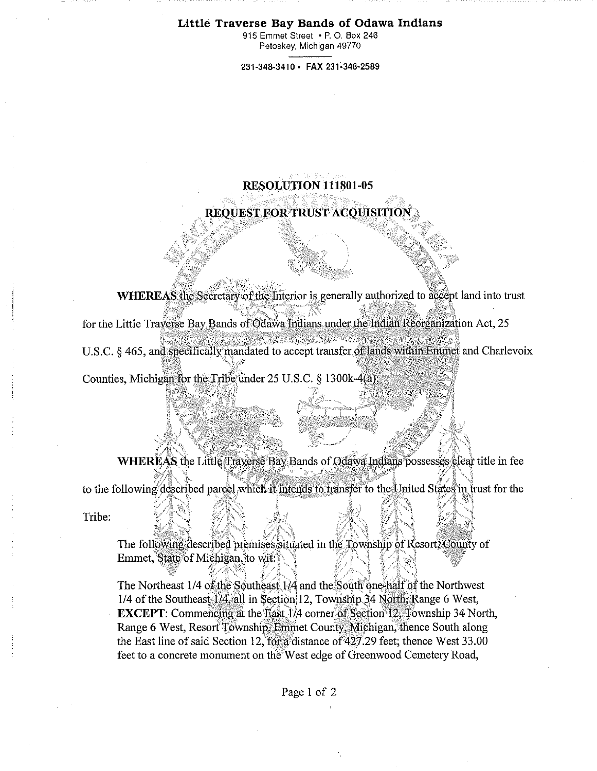## Little Traverse Bay Bands of Odawa **Indians**

915 Emmet Street • P. 0. Box 246 Petoskey, Michigan 49770

**231-348-3410 • FAX 231-348-2589** 

## RESOLUTION 111801-05

**REQUEST FOR TRUST ACQUISITION** 

WHEREAS the Secretary of the Interior is generally authorized to accept land into trust

for the Little Traverse Hay Bands of Odawa Indians under: the Indian Reorganization Act, 25

U.S.C. § 465, and specifically mandated to accept transfer of lands within Emmet and Charlevoix

Counties, Michigan for the Tribe' under 25 U.S.C. § 1300k-4(a), •

WHEREAS the Little Traverse Bay Bands of Odawa Indians possesses clear title in fee to the following described parcel which it intends to transfer to the United States in trust for the

Tribe:

The following described premises situated in the Township of Resort; County of Emmet, State of Michigan, to wit:

The Northeast  $1/4$  of the Southeast  $1/4$  and the South one-half of the Northwest 1/4 of the Southeast 1/4, all in Section 12, Township 34 North, Range 6 West, **EXCEPT:** Commencing at the East 1/4 corner of Section 12. Township 34 North, Range 6 West, Resort Township, Emmet County, Michigan, thence South along the East line of said Section 12, for a distance of  $427.29$  feet; thence West 33.00 feet to a concrete monument on the West edge of Greenwood Cemetery Road,

Page 1 of 2